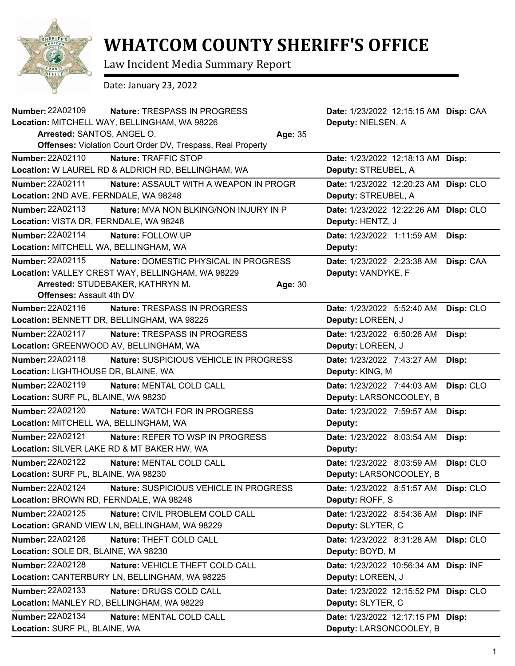

## **WHATCOM COUNTY SHERIFF'S OFFICE**

Law Incident Media Summary Report

Date: January 23, 2022

| <b>Number: 22A02109</b>                | Nature: TRESPASS IN PROGRESS                                |         | Date: 1/23/2022 12:15:15 AM Disp: CAA |           |
|----------------------------------------|-------------------------------------------------------------|---------|---------------------------------------|-----------|
|                                        | Location: MITCHELL WAY, BELLINGHAM, WA 98226                |         | Deputy: NIELSEN, A                    |           |
| Arrested: SANTOS, ANGEL O.<br>Age: 35  |                                                             |         |                                       |           |
|                                        | Offenses: Violation Court Order DV, Trespass, Real Property |         |                                       |           |
| Number: 22A02110                       | Nature: TRAFFIC STOP                                        |         | Date: 1/23/2022 12:18:13 AM Disp:     |           |
|                                        | Location: W LAUREL RD & ALDRICH RD, BELLINGHAM, WA          |         | Deputy: STREUBEL, A                   |           |
| Number: 22A02111                       | Nature: ASSAULT WITH A WEAPON IN PROGR                      |         | Date: 1/23/2022 12:20:23 AM           | Disp: CLO |
| Location: 2ND AVE, FERNDALE, WA 98248  |                                                             |         | Deputy: STREUBEL, A                   |           |
| Number: 22A02113                       | <b>Nature: MVA NON BLKING/NON INJURY IN P</b>               |         | Date: 1/23/2022 12:22:26 AM           | Disp: CLO |
| Location: VISTA DR, FERNDALE, WA 98248 |                                                             |         | Deputy: HENTZ, J                      |           |
| Number: 22A02114                       | Nature: FOLLOW UP                                           |         | Date: 1/23/2022 1:11:59 AM            | Disp:     |
| Location: MITCHELL WA, BELLINGHAM, WA  |                                                             |         | Deputy:                               |           |
| Number: 22A02115                       | Nature: DOMESTIC PHYSICAL IN PROGRESS                       |         | Date: 1/23/2022 2:23:38 AM            | Disp: CAA |
|                                        | Location: VALLEY CREST WAY, BELLINGHAM, WA 98229            |         | Deputy: VANDYKE, F                    |           |
|                                        | Arrested: STUDEBAKER, KATHRYN M.                            | Age: 30 |                                       |           |
| <b>Offenses: Assault 4th DV</b>        |                                                             |         |                                       |           |
| <b>Number: 22A02116</b>                | Nature: TRESPASS IN PROGRESS                                |         | Date: 1/23/2022 5:52:40 AM            | Disp: CLO |
|                                        | Location: BENNETT DR, BELLINGHAM, WA 98225                  |         | Deputy: LOREEN, J                     |           |
| <b>Number: 22A02117</b>                | Nature: TRESPASS IN PROGRESS                                |         | Date: 1/23/2022 6:50:26 AM            | Disp:     |
| Location: GREENWOOD AV, BELLINGHAM, WA |                                                             |         | Deputy: LOREEN, J                     |           |
| Number: 22A02118                       | Nature: SUSPICIOUS VEHICLE IN PROGRESS                      |         | Date: 1/23/2022 7:43:27 AM            | Disp:     |
| Location: LIGHTHOUSE DR, BLAINE, WA    |                                                             |         | Deputy: KING, M                       |           |
| Number: 22A02119                       | Nature: MENTAL COLD CALL                                    |         | Date: 1/23/2022 7:44:03 AM            | Disp: CLO |
| Location: SURF PL, BLAINE, WA 98230    |                                                             |         | Deputy: LARSONCOOLEY, B               |           |
| <b>Number: 22A02120</b>                | Nature: WATCH FOR IN PROGRESS                               |         | Date: 1/23/2022 7:59:57 AM            | Disp:     |
| Location: MITCHELL WA, BELLINGHAM, WA  |                                                             |         | Deputy:                               |           |
| Number: 22A02121                       | <b>Nature: REFER TO WSP IN PROGRESS</b>                     |         | Date: 1/23/2022 8:03:54 AM            | Disp:     |
|                                        | Location: SILVER LAKE RD & MT BAKER HW, WA                  |         | Deputy:                               |           |
| <b>Number: 22A02122</b>                | Nature: MENTAL COLD CALL                                    |         | Date: 1/23/2022 8:03:59 AM            | Disp: CLO |
| Location: SURF PL, BLAINE, WA 98230    |                                                             |         | Deputy: LARSONCOOLEY, B               |           |
| Number: 22A02124                       | Nature: SUSPICIOUS VEHICLE IN PROGRESS                      |         | Date: 1/23/2022 8:51:57 AM            | Disp: CLO |
| Location: BROWN RD, FERNDALE, WA 98248 |                                                             |         | Deputy: ROFF, S                       |           |
| Number: 22A02125                       | Nature: CIVIL PROBLEM COLD CALL                             |         | Date: 1/23/2022 8:54:36 AM            | Disp: INF |
|                                        | Location: GRAND VIEW LN, BELLINGHAM, WA 98229               |         | Deputy: SLYTER, C                     |           |
| Number: 22A02126                       | Nature: THEFT COLD CALL                                     |         | Date: 1/23/2022 8:31:28 AM            | Disp: CLO |
| Location: SOLE DR, BLAINE, WA 98230    |                                                             |         | Deputy: BOYD, M                       |           |
| <b>Number: 22A02128</b>                | Nature: VEHICLE THEFT COLD CALL                             |         | Date: 1/23/2022 10:56:34 AM Disp: INF |           |
|                                        | Location: CANTERBURY LN, BELLINGHAM, WA 98225               |         | Deputy: LOREEN, J                     |           |
| <b>Number: 22A02133</b>                | Nature: DRUGS COLD CALL                                     |         | Date: 1/23/2022 12:15:52 PM Disp: CLO |           |
|                                        | Location: MANLEY RD, BELLINGHAM, WA 98229                   |         | Deputy: SLYTER, C                     |           |
| Number: 22A02134                       | Nature: MENTAL COLD CALL                                    |         | Date: 1/23/2022 12:17:15 PM Disp:     |           |
| Location: SURF PL, BLAINE, WA          |                                                             |         | Deputy: LARSONCOOLEY, B               |           |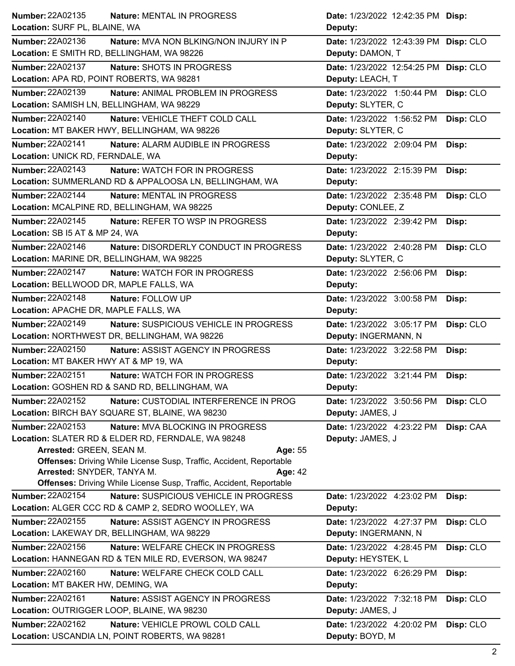| Number: 22A02135<br><b>Nature: MENTAL IN PROGRESS</b>                      | Date: 1/23/2022 12:42:35 PM Disp:     |           |
|----------------------------------------------------------------------------|---------------------------------------|-----------|
| Location: SURF PL, BLAINE, WA                                              | Deputy:                               |           |
| Number: 22A02136<br>Nature: MVA NON BLKING/NON INJURY IN P                 | Date: 1/23/2022 12:43:39 PM Disp: CLO |           |
| Location: E SMITH RD, BELLINGHAM, WA 98226                                 | Deputy: DAMON, T                      |           |
| Number: 22A02137<br>Nature: SHOTS IN PROGRESS                              | Date: 1/23/2022 12:54:25 PM Disp: CLO |           |
| Location: APA RD, POINT ROBERTS, WA 98281                                  | Deputy: LEACH, T                      |           |
| Number: 22A02139<br>Nature: ANIMAL PROBLEM IN PROGRESS                     | Date: 1/23/2022 1:50:44 PM            | Disp: CLO |
| Location: SAMISH LN, BELLINGHAM, WA 98229                                  | Deputy: SLYTER, C                     |           |
| Number: 22A02140<br>Nature: VEHICLE THEFT COLD CALL                        | Date: 1/23/2022 1:56:52 PM            | Disp: CLO |
| Location: MT BAKER HWY, BELLINGHAM, WA 98226                               | Deputy: SLYTER, C                     |           |
| Number: 22A02141<br>Nature: ALARM AUDIBLE IN PROGRESS                      | Date: 1/23/2022 2:09:04 PM            | Disp:     |
| Location: UNICK RD, FERNDALE, WA                                           | Deputy:                               |           |
| Number: 22A02143<br><b>Nature: WATCH FOR IN PROGRESS</b>                   | Date: 1/23/2022 2:15:39 PM            | Disp:     |
| Location: SUMMERLAND RD & APPALOOSA LN, BELLINGHAM, WA                     | Deputy:                               |           |
| <b>Number: 22A02144</b><br>Nature: MENTAL IN PROGRESS                      | Date: 1/23/2022 2:35:48 PM            | Disp: CLO |
| Location: MCALPINE RD, BELLINGHAM, WA 98225                                | Deputy: CONLEE, Z                     |           |
| Number: 22A02145<br>Nature: REFER TO WSP IN PROGRESS                       | Date: 1/23/2022 2:39:42 PM            | Disp:     |
| Location: SB I5 AT & MP 24, WA                                             | Deputy:                               |           |
| Number: 22A02146<br>Nature: DISORDERLY CONDUCT IN PROGRESS                 | Date: 1/23/2022 2:40:28 PM            | Disp: CLO |
| Location: MARINE DR, BELLINGHAM, WA 98225                                  | Deputy: SLYTER, C                     |           |
| <b>Number: 22A02147</b><br>Nature: WATCH FOR IN PROGRESS                   | Date: 1/23/2022 2:56:06 PM            | Disp:     |
| Location: BELLWOOD DR, MAPLE FALLS, WA                                     | Deputy:                               |           |
| Number: 22A02148<br>Nature: FOLLOW UP                                      | Date: 1/23/2022 3:00:58 PM            | Disp:     |
| Location: APACHE DR, MAPLE FALLS, WA                                       | Deputy:                               |           |
| <b>Number: 22A02149</b><br>Nature: SUSPICIOUS VEHICLE IN PROGRESS          | Date: 1/23/2022 3:05:17 PM            | Disp: CLO |
| Location: NORTHWEST DR, BELLINGHAM, WA 98226                               | Deputy: INGERMANN, N                  |           |
| <b>Number: 22A02150</b><br>Nature: ASSIST AGENCY IN PROGRESS               | Date: 1/23/2022 3:22:58 PM            | Disp:     |
| Location: MT BAKER HWY AT & MP 19, WA                                      | Deputy:                               |           |
| Number: 22A02151<br>Nature: WATCH FOR IN PROGRESS                          | Date: 1/23/2022 3:21:44 PM            | Disp:     |
| Location: GOSHEN RD & SAND RD, BELLINGHAM, WA                              | Deputy:                               |           |
| <b>Number: 22A02152</b><br>Nature: CUSTODIAL INTERFERENCE IN PROG          | Date: 1/23/2022 3:50:56 PM            | Disp: CLO |
| Location: BIRCH BAY SQUARE ST, BLAINE, WA 98230                            | Deputy: JAMES, J                      |           |
| Number: 22A02153<br><b>Nature: MVA BLOCKING IN PROGRESS</b>                | Date: 1/23/2022 4:23:22 PM            | Disp: CAA |
| Location: SLATER RD & ELDER RD, FERNDALE, WA 98248                         | Deputy: JAMES, J                      |           |
| Arrested: GREEN, SEAN M.<br>Age: 55                                        |                                       |           |
| <b>Offenses:</b> Driving While License Susp, Traffic, Accident, Reportable |                                       |           |
| Arrested: SNYDER, TANYA M.<br>Age: 42                                      |                                       |           |
| Offenses: Driving While License Susp, Traffic, Accident, Reportable        |                                       |           |
| <b>Number: 22A02154</b><br>Nature: SUSPICIOUS VEHICLE IN PROGRESS          | Date: 1/23/2022 4:23:02 PM            | Disp:     |
| Location: ALGER CCC RD & CAMP 2, SEDRO WOOLLEY, WA                         | Deputy:                               |           |
| Number: 22A02155<br>Nature: ASSIST AGENCY IN PROGRESS                      | Date: 1/23/2022 4:27:37 PM            | Disp: CLO |
| Location: LAKEWAY DR, BELLINGHAM, WA 98229                                 | Deputy: INGERMANN, N                  |           |
| Number: 22A02156<br>Nature: WELFARE CHECK IN PROGRESS                      | Date: 1/23/2022 4:28:45 PM            | Disp: CLO |
| Location: HANNEGAN RD & TEN MILE RD, EVERSON, WA 98247                     | Deputy: HEYSTEK, L                    |           |
| Number: 22A02160<br>Nature: WELFARE CHECK COLD CALL                        | Date: 1/23/2022 6:26:29 PM            | Disp:     |
| Location: MT BAKER HW, DEMING, WA                                          | Deputy:                               |           |
| Number: 22A02161<br><b>Nature: ASSIST AGENCY IN PROGRESS</b>               | Date: 1/23/2022 7:32:18 PM            | Disp: CLO |
| Location: OUTRIGGER LOOP, BLAINE, WA 98230                                 | Deputy: JAMES, J                      |           |
| Number: 22A02162<br>Nature: VEHICLE PROWL COLD CALL                        | Date: 1/23/2022 4:20:02 PM            | Disp: CLO |
| Location: USCANDIA LN, POINT ROBERTS, WA 98281                             | Deputy: BOYD, M                       |           |